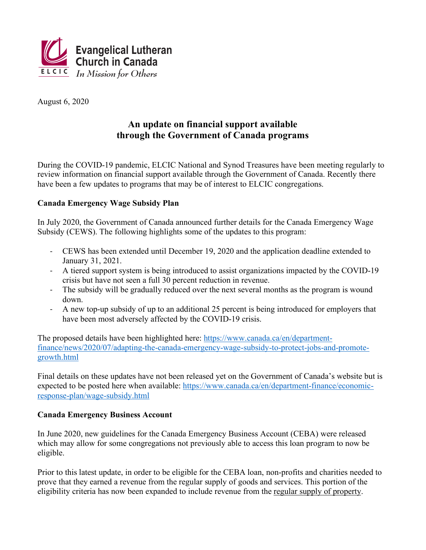

August 6, 2020

## An update on financial support available through the Government of Canada programs

During the COVID-19 pandemic. ELCIC National and Synod Treasures have been meeting regularly to review information on financial support available through the Government of Canada. Recently there have been a few updates to programs that may be of interest to ELCIC congregations.

## **Canada Emergency Wage Subsidy Plan**

In July 2020, the Government of Canada announced further details for the Canada Emergency Wage Subsidy (CEWS). The following highlights some of the updates to this program:

- CEWS has been extended until December 19, 2020 and the application deadline extended to January 31, 2021.
- A tiered support system is being introduced to assist organizations impacted by the COVID-19 crisis but have not seen a full 30 percent reduction in revenue.
- The subsidy will be gradually reduced over the next several months as the program is wound  $\omega_{\rm{max}}$ down
- A new top-up subsidy of up to an additional 25 percent is being introduced for employers that  $\mathbb{Z}^{\mathbb{Z}^{\times}}$ have been most adversely affected by the COVID-19 crisis.

The proposed details have been highlighted here: https://www.canada.ca/en/departmentfinance/news/2020/07/adapting-the-canada-emergency-wage-subsidy-to-protect-jobs-and-promotegrowth.html

Final details on these updates have not been released yet on the Government of Canada's website but is expected to be posted here when available: https://www.canada.ca/en/department-finance/economicresponse-plan/wage-subsidy.html

## **Canada Emergency Business Account**

In June 2020, new guidelines for the Canada Emergency Business Account (CEBA) were released which may allow for some congregations not previously able to access this loan program to now be eligible.

Prior to this latest update, in order to be eligible for the CEBA loan, non-profits and charities needed to prove that they earned a revenue from the regular supply of goods and services. This portion of the eligibility criteria has now been expanded to include revenue from the regular supply of property.